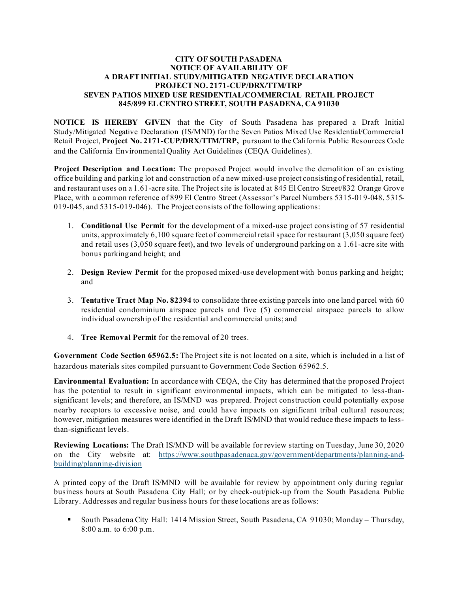## **CITY OF SOUTH PASADENA NOTICE OF AVAILABILITY OF A DRAFT INITIAL STUDY/MITIGATED NEGATIVE DECLARATION PROJECT NO. 2171-CUP/DRX/TTM/TRP SEVEN PATIOS MIXED USE RESIDENTIAL/COMMERCIAL RETAIL PROJECT 845/899 EL CENTRO STREET, SOUTH PASADENA, CA 91030**

**NOTICE IS HEREBY GIVEN** that the City of South Pasadena has prepared a Draft Initial Study/Mitigated Negative Declaration (IS/MND) for the Seven Patios Mixed Use Residential/Commercial Retail Project, **Project No. 2171-CUP/DRX/TTM/TRP,** pursuant to the California Public Resources Code and the California Environmental Quality Act Guidelines (CEQA Guidelines).

**Project Description and Location:** The proposed Project would involve the demolition of an existing office building and parking lot and construction of a new mixed-use project consisting of residential, retail, and restaurant uses on a 1.61-acre site. The Project site is located at 845 El Centro Street/832 Orange Grove Place, with a common reference of 899 El Centro Street (Assessor's Parcel Numbers 5315-019-048, 5315- 019-045, and 5315-019-046). The Project consists of the following applications:

- 1. **Conditional Use Permit** for the development of a mixed-use project consisting of 57 residential units, approximately 6,100 square feet of commercial retail space for restaurant (3,050 square feet) and retail uses (3,050 square feet), and two levels of underground parking on a 1.61-acre site with bonus parking and height; and
- 2. **Design Review Permit** for the proposed mixed-use development with bonus parking and height; and
- 3. **Tentative Tract Map No. 82394** to consolidate three existing parcels into one land parcel with 60 residential condominium airspace parcels and five (5) commercial airspace parcels to allow individual ownership of the residential and commercial units; and
- 4. **Tree Removal Permit** for the removal of 20 trees.

**Government Code Section 65962.5:** The Project site is not located on a site, which is included in a list of hazardous materials sites compiled pursuant to Government Code Section 65962.5.

**Environmental Evaluation:** In accordance with CEQA, the City has determined that the proposed Project has the potential to result in significant environmental impacts, which can be mitigated to less-thansignificant levels; and therefore, an IS/MND was prepared. Project construction could potentially expose nearby receptors to excessive noise, and could have impacts on significant tribal cultural resources; however, mitigation measures were identified in the Draft IS/MND that would reduce these impacts to lessthan-significant levels.

**Reviewing Locations:** The Draft IS/MND will be available for review starting on Tuesday, June 30, 2020 on the City website at: [https://www.southpasadenaca.gov/government/departments/planning-and](https://www.southpasadenaca.gov/government/departments/planning-and-building/planning-division)[building/planning-division](https://www.southpasadenaca.gov/government/departments/planning-and-building/planning-division)

A printed copy of the Draft IS/MND will be available for review by appointment only during regular business hours at South Pasadena City Hall; or by check-out/pick-up from the South Pasadena Public Library. Addresses and regular business hours for these locations are as follows:

 South Pasadena City Hall: 1414 Mission Street, South Pasadena, CA 91030; Monday – Thursday, 8:00 a.m. to 6:00 p.m.